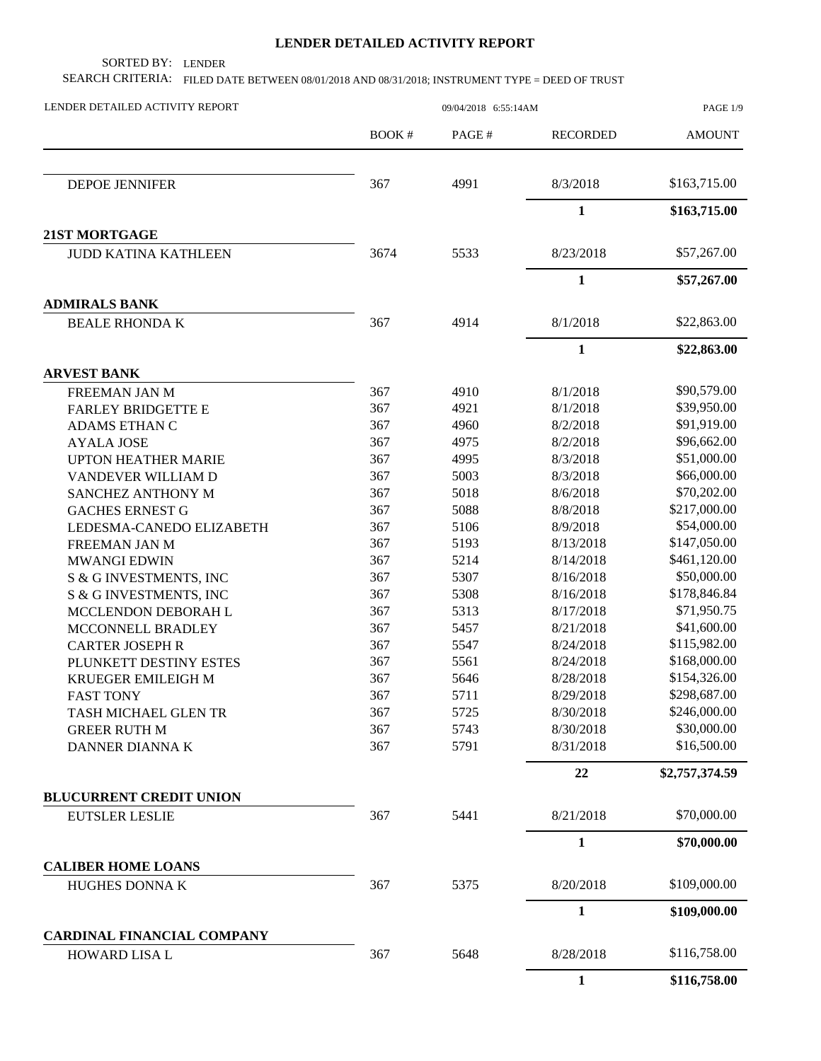## **LENDER DETAILED ACTIVITY REPORT**

SORTED BY: LENDER

SEARCH CRITERIA: FILED DATE BETWEEN 08/01/2018 AND 08/31/2018; INSTRUMENT TYPE = DEED OF TRUST

| LENDER DETAILED ACTIVITY REPORT                    |              |                                                                                                                                                                                                                      |                 | PAGE 1/9       |
|----------------------------------------------------|--------------|----------------------------------------------------------------------------------------------------------------------------------------------------------------------------------------------------------------------|-----------------|----------------|
|                                                    | <b>BOOK#</b> | PAGE#                                                                                                                                                                                                                | <b>RECORDED</b> | <b>AMOUNT</b>  |
| <b>DEPOE JENNIFER</b>                              | 367          | 4991                                                                                                                                                                                                                 | 8/3/2018        | \$163,715.00   |
|                                                    |              |                                                                                                                                                                                                                      | $\mathbf{1}$    | \$163,715.00   |
| 21ST MORTGAGE                                      |              |                                                                                                                                                                                                                      |                 |                |
| <b>JUDD KATINA KATHLEEN</b>                        | 3674         | 5533                                                                                                                                                                                                                 | 8/23/2018       | \$57,267.00    |
|                                                    |              |                                                                                                                                                                                                                      | $\mathbf{1}$    | \$57,267.00    |
| <b>ADMIRALS BANK</b>                               |              |                                                                                                                                                                                                                      |                 |                |
| <b>BEALE RHONDA K</b>                              | 367          | 4914                                                                                                                                                                                                                 | 8/1/2018        | \$22,863.00    |
|                                                    |              | 09/04/2018 6:55:14AM<br>4910<br>4921<br>4960<br>4975<br>4995<br>5003<br>5018<br>5088<br>5106<br>5193<br>5214<br>5307<br>5308<br>5313<br>5457<br>5547<br>5561<br>5646<br>5711<br>5725<br>5743<br>5791<br>5441<br>5375 | $\mathbf{1}$    | \$22,863.00    |
| <b>ARVEST BANK</b>                                 |              |                                                                                                                                                                                                                      |                 |                |
| FREEMAN JAN M                                      | 367          |                                                                                                                                                                                                                      | 8/1/2018        | \$90,579.00    |
| <b>FARLEY BRIDGETTE E</b>                          | 367          |                                                                                                                                                                                                                      | 8/1/2018        | \$39,950.00    |
| ADAMS ETHAN C                                      | 367          |                                                                                                                                                                                                                      | 8/2/2018        | \$91,919.00    |
| <b>AYALA JOSE</b>                                  | 367          |                                                                                                                                                                                                                      | 8/2/2018        | \$96,662.00    |
| <b>UPTON HEATHER MARIE</b>                         | 367          |                                                                                                                                                                                                                      | 8/3/2018        | \$51,000.00    |
| VANDEVER WILLIAM D                                 | 367          |                                                                                                                                                                                                                      | 8/3/2018        | \$66,000.00    |
| SANCHEZ ANTHONY M                                  | 367          |                                                                                                                                                                                                                      | 8/6/2018        | \$70,202.00    |
| <b>GACHES ERNEST G</b>                             | 367          |                                                                                                                                                                                                                      | 8/8/2018        | \$217,000.00   |
| LEDESMA-CANEDO ELIZABETH                           | 367          |                                                                                                                                                                                                                      | 8/9/2018        | \$54,000.00    |
| FREEMAN JAN M                                      | 367          |                                                                                                                                                                                                                      | 8/13/2018       | \$147,050.00   |
| <b>MWANGI EDWIN</b>                                | 367          |                                                                                                                                                                                                                      | 8/14/2018       | \$461,120.00   |
| S & G INVESTMENTS, INC                             | 367          |                                                                                                                                                                                                                      | 8/16/2018       | \$50,000.00    |
| S & G INVESTMENTS, INC                             | 367          |                                                                                                                                                                                                                      | 8/16/2018       | \$178,846.84   |
| MCCLENDON DEBORAH L                                | 367          |                                                                                                                                                                                                                      | 8/17/2018       | \$71,950.75    |
| MCCONNELL BRADLEY                                  | 367          |                                                                                                                                                                                                                      | 8/21/2018       | \$41,600.00    |
| <b>CARTER JOSEPH R</b>                             | 367          |                                                                                                                                                                                                                      | 8/24/2018       | \$115,982.00   |
| PLUNKETT DESTINY ESTES                             | 367          |                                                                                                                                                                                                                      | 8/24/2018       | \$168,000.00   |
| KRUEGER EMILEIGH M                                 | 367          |                                                                                                                                                                                                                      | 8/28/2018       | \$154,326.00   |
| <b>FAST TONY</b>                                   | 367          |                                                                                                                                                                                                                      | 8/29/2018       | \$298,687.00   |
| TASH MICHAEL GLEN TR                               | 367          |                                                                                                                                                                                                                      | 8/30/2018       | \$246,000.00   |
| <b>GREER RUTH M</b>                                | 367          |                                                                                                                                                                                                                      | 8/30/2018       | \$30,000.00    |
| DANNER DIANNA K                                    | 367          |                                                                                                                                                                                                                      | 8/31/2018       | \$16,500.00    |
|                                                    |              |                                                                                                                                                                                                                      | 22              | \$2,757,374.59 |
| <b>BLUCURRENT CREDIT UNION</b>                     |              |                                                                                                                                                                                                                      |                 |                |
| <b>EUTSLER LESLIE</b>                              | 367          |                                                                                                                                                                                                                      | 8/21/2018       | \$70,000.00    |
|                                                    |              |                                                                                                                                                                                                                      | $\mathbf{1}$    | \$70,000.00    |
| <b>CALIBER HOME LOANS</b>                          |              |                                                                                                                                                                                                                      |                 |                |
| <b>HUGHES DONNAK</b>                               | 367          |                                                                                                                                                                                                                      | 8/20/2018       | \$109,000.00   |
|                                                    |              |                                                                                                                                                                                                                      | $\mathbf{1}$    | \$109,000.00   |
| CARDINAL FINANCIAL COMPANY<br><b>HOWARD LISA L</b> | 367          | 5648                                                                                                                                                                                                                 | 8/28/2018       | \$116,758.00   |
|                                                    |              |                                                                                                                                                                                                                      | $\mathbf{1}$    | \$116,758.00   |
|                                                    |              |                                                                                                                                                                                                                      |                 |                |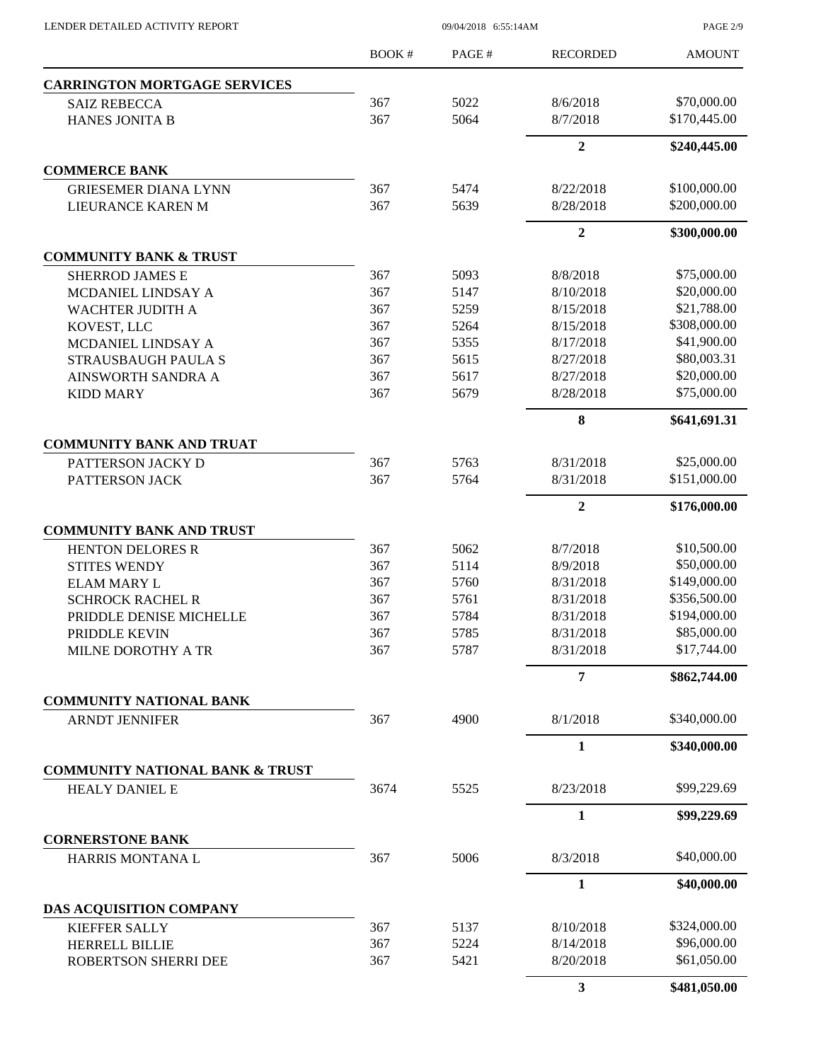PAGE 2/9

|                                            | <b>BOOK#</b> | PAGE# | <b>RECORDED</b>         | <b>AMOUNT</b> |
|--------------------------------------------|--------------|-------|-------------------------|---------------|
| <b>CARRINGTON MORTGAGE SERVICES</b>        |              |       |                         |               |
| <b>SAIZ REBECCA</b>                        | 367          | 5022  | 8/6/2018                | \$70,000.00   |
| <b>HANES JONITA B</b>                      | 367          | 5064  | 8/7/2018                | \$170,445.00  |
|                                            |              |       | $\mathbf{2}$            | \$240,445.00  |
| <b>COMMERCE BANK</b>                       |              |       |                         |               |
| <b>GRIESEMER DIANA LYNN</b>                | 367          | 5474  | 8/22/2018               | \$100,000.00  |
| LIEURANCE KAREN M                          | 367          | 5639  | 8/28/2018               | \$200,000.00  |
|                                            |              |       | $\overline{2}$          | \$300,000.00  |
| <b>COMMUNITY BANK &amp; TRUST</b>          |              |       |                         |               |
| <b>SHERROD JAMES E</b>                     | 367          | 5093  | 8/8/2018                | \$75,000.00   |
| MCDANIEL LINDSAY A                         | 367          | 5147  | 8/10/2018               | \$20,000.00   |
| WACHTER JUDITH A                           | 367          | 5259  | 8/15/2018               | \$21,788.00   |
| KOVEST, LLC                                | 367          | 5264  | 8/15/2018               | \$308,000.00  |
| MCDANIEL LINDSAY A                         | 367          | 5355  | 8/17/2018               | \$41,900.00   |
| STRAUSBAUGH PAULA S                        | 367          | 5615  | 8/27/2018               | \$80,003.31   |
| AINSWORTH SANDRA A                         | 367          | 5617  | 8/27/2018               | \$20,000.00   |
| <b>KIDD MARY</b>                           | 367          | 5679  | 8/28/2018               | \$75,000.00   |
|                                            |              |       | 8                       | \$641,691.31  |
| <b>COMMUNITY BANK AND TRUAT</b>            |              |       |                         |               |
| PATTERSON JACKY D                          | 367          | 5763  | 8/31/2018               | \$25,000.00   |
| PATTERSON JACK                             | 367          | 5764  | 8/31/2018               | \$151,000.00  |
|                                            |              |       | $\overline{2}$          | \$176,000.00  |
| <b>COMMUNITY BANK AND TRUST</b>            |              |       |                         |               |
| HENTON DELORES R                           | 367          | 5062  | 8/7/2018                | \$10,500.00   |
| <b>STITES WENDY</b>                        | 367          | 5114  | 8/9/2018                | \$50,000.00   |
| <b>ELAM MARY L</b>                         | 367          | 5760  | 8/31/2018               | \$149,000.00  |
| <b>SCHROCK RACHEL R</b>                    | 367          | 5761  | 8/31/2018               | \$356,500.00  |
| PRIDDLE DENISE MICHELLE                    | 367          | 5784  | 8/31/2018               | \$194,000.00  |
| PRIDDLE KEVIN                              | 367          | 5785  | 8/31/2018               | \$85,000.00   |
| MILNE DOROTHY A TR                         | 367          | 5787  | 8/31/2018               | \$17,744.00   |
|                                            |              |       | 7                       | \$862,744.00  |
| <b>COMMUNITY NATIONAL BANK</b>             |              |       |                         |               |
| <b>ARNDT JENNIFER</b>                      | 367          | 4900  | 8/1/2018                | \$340,000.00  |
|                                            |              |       | $\mathbf{1}$            | \$340,000.00  |
| <b>COMMUNITY NATIONAL BANK &amp; TRUST</b> |              |       |                         |               |
| <b>HEALY DANIEL E</b>                      | 3674         | 5525  | 8/23/2018               | \$99,229.69   |
|                                            |              |       | $\mathbf{1}$            | \$99,229.69   |
| <b>CORNERSTONE BANK</b>                    |              |       |                         |               |
| HARRIS MONTANA L                           | 367          | 5006  | 8/3/2018                | \$40,000.00   |
|                                            |              |       | $\mathbf{1}$            | \$40,000.00   |
| DAS ACQUISITION COMPANY                    |              |       |                         |               |
| <b>KIEFFER SALLY</b>                       | 367          | 5137  | 8/10/2018               | \$324,000.00  |
| HERRELL BILLIE                             | 367          | 5224  | 8/14/2018               | \$96,000.00   |
| ROBERTSON SHERRI DEE                       | 367          | 5421  | 8/20/2018               | \$61,050.00   |
|                                            |              |       | $\overline{\mathbf{3}}$ | \$481,050.00  |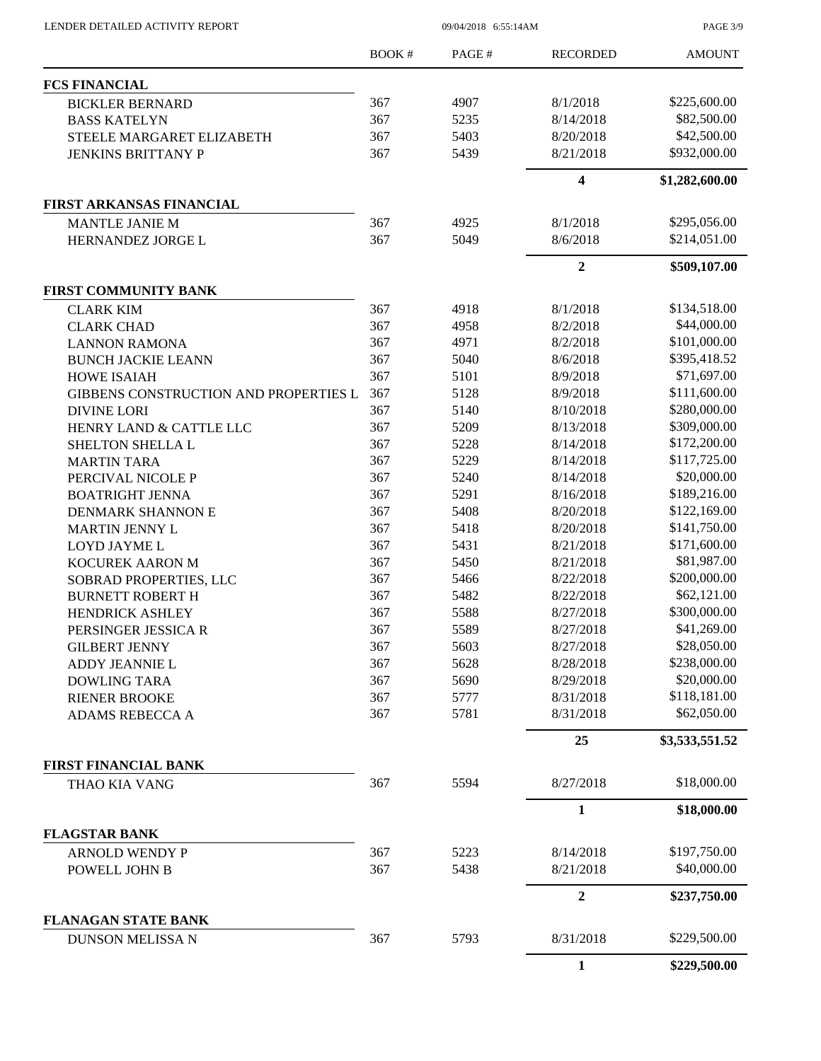LENDER DETAILED ACTIVITY REPORT 09/04/2018 6:55:14AM

PAGE 3/9

|                                       | <b>BOOK#</b> | PAGE# | <b>RECORDED</b>         | <b>AMOUNT</b>  |
|---------------------------------------|--------------|-------|-------------------------|----------------|
| <b>FCS FINANCIAL</b>                  |              |       |                         |                |
| <b>BICKLER BERNARD</b>                | 367          | 4907  | 8/1/2018                | \$225,600.00   |
| <b>BASS KATELYN</b>                   | 367          | 5235  | 8/14/2018               | \$82,500.00    |
| STEELE MARGARET ELIZABETH             | 367          | 5403  | 8/20/2018               | \$42,500.00    |
| <b>JENKINS BRITTANY P</b>             | 367          | 5439  | 8/21/2018               | \$932,000.00   |
|                                       |              |       | $\overline{\mathbf{4}}$ | \$1,282,600.00 |
| <b>FIRST ARKANSAS FINANCIAL</b>       |              |       |                         |                |
| <b>MANTLE JANIE M</b>                 | 367          | 4925  | 8/1/2018                | \$295,056.00   |
| HERNANDEZ JORGE L                     | 367          | 5049  | 8/6/2018                | \$214,051.00   |
|                                       |              |       | $\boldsymbol{2}$        | \$509,107.00   |
| <b>FIRST COMMUNITY BANK</b>           |              |       |                         |                |
| <b>CLARK KIM</b>                      | 367          | 4918  | 8/1/2018                | \$134,518.00   |
| <b>CLARK CHAD</b>                     | 367          | 4958  | 8/2/2018                | \$44,000.00    |
| <b>LANNON RAMONA</b>                  | 367          | 4971  | 8/2/2018                | \$101,000.00   |
| <b>BUNCH JACKIE LEANN</b>             | 367          | 5040  | 8/6/2018                | \$395,418.52   |
| <b>HOWE ISAIAH</b>                    | 367          | 5101  | 8/9/2018                | \$71,697.00    |
| GIBBENS CONSTRUCTION AND PROPERTIES L | 367          | 5128  | 8/9/2018                | \$111,600.00   |
| <b>DIVINE LORI</b>                    | 367          | 5140  | 8/10/2018               | \$280,000.00   |
| HENRY LAND & CATTLE LLC               | 367          | 5209  | 8/13/2018               | \$309,000.00   |
| SHELTON SHELLA L                      | 367          | 5228  | 8/14/2018               | \$172,200.00   |
| <b>MARTIN TARA</b>                    | 367          | 5229  | 8/14/2018               | \$117,725.00   |
| PERCIVAL NICOLE P                     | 367          | 5240  | 8/14/2018               | \$20,000.00    |
| <b>BOATRIGHT JENNA</b>                | 367          | 5291  | 8/16/2018               | \$189,216.00   |
| <b>DENMARK SHANNON E</b>              | 367          | 5408  | 8/20/2018               | \$122,169.00   |
| <b>MARTIN JENNY L</b>                 | 367          | 5418  | 8/20/2018               | \$141,750.00   |
| LOYD JAYME L                          | 367          | 5431  | 8/21/2018               | \$171,600.00   |
| KOCUREK AARON M                       | 367          | 5450  | 8/21/2018               | \$81,987.00    |
| SOBRAD PROPERTIES, LLC                | 367          | 5466  | 8/22/2018               | \$200,000.00   |
| <b>BURNETT ROBERT H</b>               | 367          | 5482  | 8/22/2018               | \$62,121.00    |
| <b>HENDRICK ASHLEY</b>                | 367          | 5588  | 8/27/2018               | \$300,000.00   |
| PERSINGER JESSICA R                   | 367          | 5589  | 8/27/2018               | \$41,269.00    |
| <b>GILBERT JENNY</b>                  | 367          | 5603  | 8/27/2018               | \$28,050.00    |
| ADDY JEANNIE L                        | 367          | 5628  | 8/28/2018               | \$238,000.00   |
| <b>DOWLING TARA</b>                   | 367          | 5690  | 8/29/2018               | \$20,000.00    |
| <b>RIENER BROOKE</b>                  | 367          | 5777  | 8/31/2018               | \$118,181.00   |
| <b>ADAMS REBECCA A</b>                | 367          | 5781  | 8/31/2018               | \$62,050.00    |
|                                       |              |       | 25                      | \$3,533,551.52 |
| <b>FIRST FINANCIAL BANK</b>           |              |       |                         |                |
| THAO KIA VANG                         | 367          | 5594  | 8/27/2018               | \$18,000.00    |
|                                       |              |       | 1                       | \$18,000.00    |
| <b>FLAGSTAR BANK</b>                  |              |       |                         |                |
| <b>ARNOLD WENDY P</b>                 | 367          | 5223  | 8/14/2018               | \$197,750.00   |
| POWELL JOHN B                         | 367          | 5438  | 8/21/2018               | \$40,000.00    |
|                                       |              |       | $\overline{2}$          | \$237,750.00   |
| <b>FLANAGAN STATE BANK</b>            |              |       |                         |                |
| <b>DUNSON MELISSA N</b>               | 367          | 5793  | 8/31/2018               | \$229,500.00   |
|                                       |              |       | $\mathbf{1}$            | \$229,500.00   |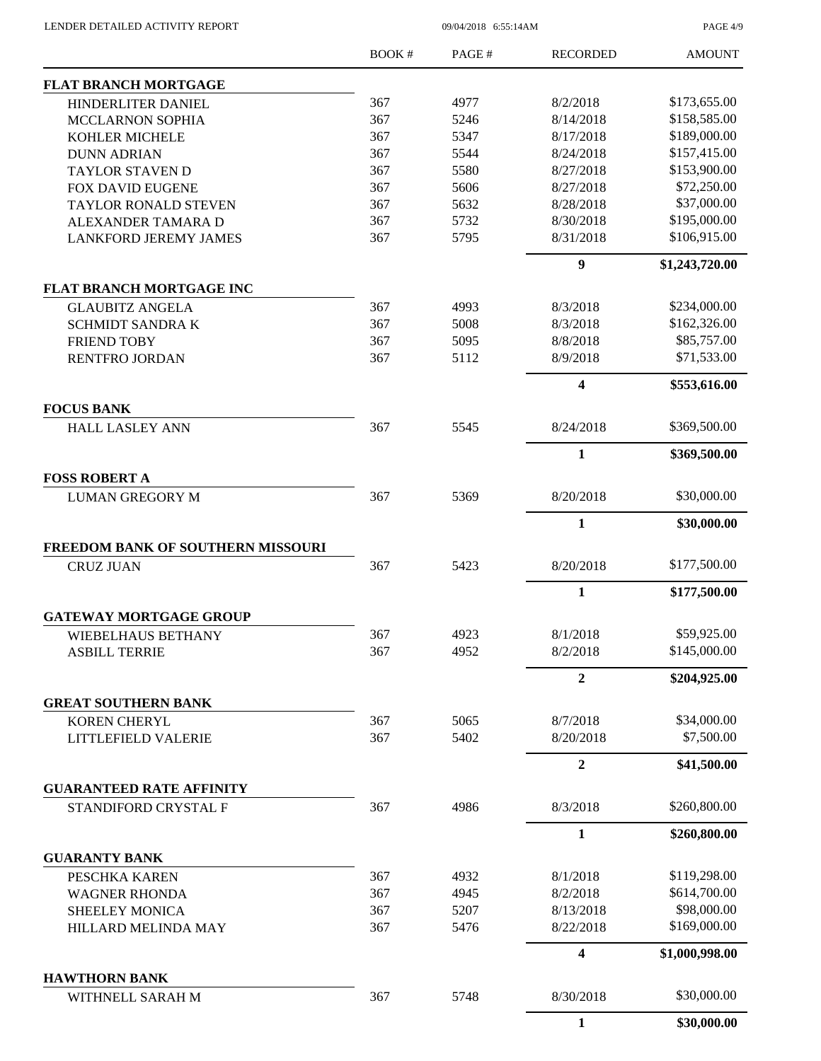09/04/2018 6:55:14AM

PAGE 4/9

|                                                         | <b>BOOK#</b> | PAGE#        | <b>RECORDED</b>         | <b>AMOUNT</b>             |
|---------------------------------------------------------|--------------|--------------|-------------------------|---------------------------|
| <b>FLAT BRANCH MORTGAGE</b>                             |              |              |                         |                           |
| HINDERLITER DANIEL                                      | 367          | 4977         | 8/2/2018                | \$173,655.00              |
| <b>MCCLARNON SOPHIA</b>                                 | 367          | 5246         | 8/14/2018               | \$158,585.00              |
| <b>KOHLER MICHELE</b>                                   | 367          | 5347         | 8/17/2018               | \$189,000.00              |
| <b>DUNN ADRIAN</b>                                      | 367          | 5544         | 8/24/2018               | \$157,415.00              |
| <b>TAYLOR STAVEN D</b>                                  | 367          | 5580         | 8/27/2018               | \$153,900.00              |
| <b>FOX DAVID EUGENE</b>                                 | 367          | 5606         | 8/27/2018               | \$72,250.00               |
| TAYLOR RONALD STEVEN                                    | 367          | 5632         | 8/28/2018               | \$37,000.00               |
| ALEXANDER TAMARA D                                      | 367          | 5732         | 8/30/2018               | \$195,000.00              |
| <b>LANKFORD JEREMY JAMES</b>                            | 367          | 5795         | 8/31/2018               | \$106,915.00              |
|                                                         |              |              | $\boldsymbol{9}$        | \$1,243,720.00            |
| <b>FLAT BRANCH MORTGAGE INC</b>                         |              |              |                         |                           |
| <b>GLAUBITZ ANGELA</b>                                  | 367          | 4993         | 8/3/2018                | \$234,000.00              |
| <b>SCHMIDT SANDRA K</b>                                 | 367          | 5008         | 8/3/2018                | \$162,326.00              |
| <b>FRIEND TOBY</b>                                      | 367          | 5095         | 8/8/2018                | \$85,757.00               |
| RENTFRO JORDAN                                          | 367          | 5112         | 8/9/2018                | \$71,533.00               |
|                                                         |              |              | $\overline{\mathbf{4}}$ | \$553,616.00              |
| <b>FOCUS BANK</b><br><b>HALL LASLEY ANN</b>             | 367          | 5545         | 8/24/2018               | \$369,500.00              |
|                                                         |              |              | $\mathbf{1}$            |                           |
|                                                         |              |              |                         | \$369,500.00              |
| <b>FOSS ROBERT A</b><br><b>LUMAN GREGORY M</b>          | 367          | 5369         | 8/20/2018               | \$30,000.00               |
|                                                         |              |              |                         |                           |
|                                                         |              |              | $\mathbf{1}$            | \$30,000.00               |
| FREEDOM BANK OF SOUTHERN MISSOURI                       |              |              |                         |                           |
| <b>CRUZ JUAN</b>                                        | 367          | 5423         | 8/20/2018               | \$177,500.00              |
|                                                         |              |              | $\mathbf{1}$            | \$177,500.00              |
| <b>GATEWAY MORTGAGE GROUP</b>                           |              |              |                         |                           |
| WIEBELHAUS BETHANY                                      | 367          | 4923         | 8/1/2018                | \$59,925.00               |
| <b>ASBILL TERRIE</b>                                    | 367          | 4952         | 8/2/2018                | \$145,000.00              |
|                                                         |              |              | $\mathbf{2}$            | \$204,925.00              |
| <b>GREAT SOUTHERN BANK</b>                              |              |              |                         |                           |
| <b>KOREN CHERYL</b>                                     | 367<br>367   | 5065<br>5402 | 8/7/2018<br>8/20/2018   | \$34,000.00<br>\$7,500.00 |
| LITTLEFIELD VALERIE                                     |              |              |                         |                           |
|                                                         |              |              | $\boldsymbol{2}$        | \$41,500.00               |
| <b>GUARANTEED RATE AFFINITY</b><br>STANDIFORD CRYSTAL F | 367          | 4986         | 8/3/2018                | \$260,800.00              |
|                                                         |              |              | $\mathbf{1}$            | \$260,800.00              |
| <b>GUARANTY BANK</b>                                    |              |              |                         |                           |
| PESCHKA KAREN                                           | 367          | 4932         | 8/1/2018                | \$119,298.00              |
|                                                         | 367          |              | 8/2/2018                | \$614,700.00              |
| <b>WAGNER RHONDA</b>                                    | 367          | 4945<br>5207 | 8/13/2018               | \$98,000.00               |
| <b>SHEELEY MONICA</b>                                   | 367          | 5476         | 8/22/2018               | \$169,000.00              |
| HILLARD MELINDA MAY                                     |              |              |                         |                           |
|                                                         |              |              | 4                       | \$1,000,998.00            |
| <b>HAWTHORN BANK</b><br>WITHNELL SARAH M                | 367          | 5748         | 8/30/2018               | \$30,000.00               |
|                                                         |              |              | $\mathbf{1}$            | \$30,000.00               |
|                                                         |              |              |                         |                           |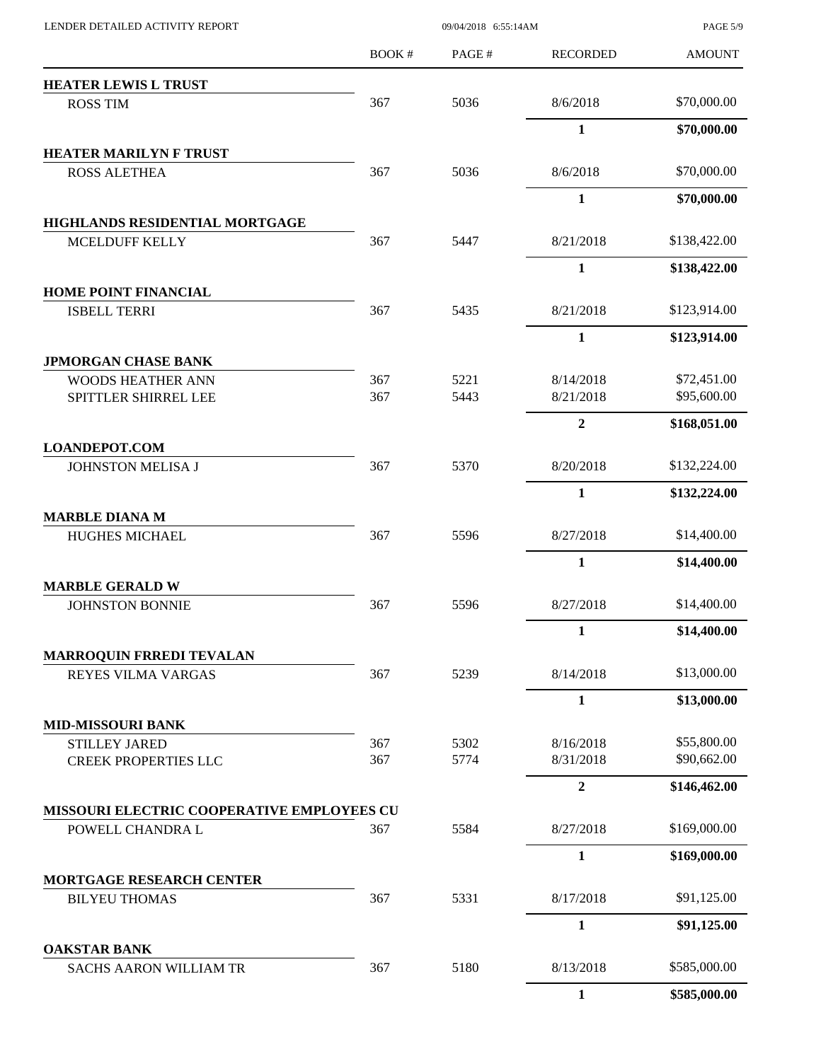| LENDER DETAILED ACTIVITY REPORT                     |       |                                                                                                                                                              |                        | <b>PAGE 5/9</b>            |
|-----------------------------------------------------|-------|--------------------------------------------------------------------------------------------------------------------------------------------------------------|------------------------|----------------------------|
|                                                     | BOOK# | PAGE#                                                                                                                                                        | <b>RECORDED</b>        | <b>AMOUNT</b>              |
| <b>HEATER LEWIS L TRUST</b>                         |       |                                                                                                                                                              |                        |                            |
| <b>ROSS TIM</b>                                     | 367   | 5036                                                                                                                                                         | 8/6/2018               | \$70,000.00                |
|                                                     |       |                                                                                                                                                              | $\mathbf{1}$           | \$70,000.00                |
| <b>HEATER MARILYN F TRUST</b>                       |       |                                                                                                                                                              |                        |                            |
| <b>ROSS ALETHEA</b>                                 |       |                                                                                                                                                              | 8/6/2018               | \$70,000.00                |
|                                                     |       |                                                                                                                                                              | 1                      | \$70,000.00                |
| HIGHLANDS RESIDENTIAL MORTGAGE                      |       |                                                                                                                                                              | 8/21/2018              | \$138,422.00               |
| MCELDUFF KELLY                                      |       |                                                                                                                                                              | 1                      | \$138,422.00               |
| <b>HOME POINT FINANCIAL</b>                         |       |                                                                                                                                                              |                        |                            |
| <b>ISBELL TERRI</b>                                 | 367   | 5435                                                                                                                                                         | 8/21/2018              | \$123,914.00               |
|                                                     |       |                                                                                                                                                              | $\mathbf{1}$           | \$123,914.00               |
| <b>JPMORGAN CHASE BANK</b>                          |       |                                                                                                                                                              |                        |                            |
| <b>WOODS HEATHER ANN</b>                            | 367   | 5221                                                                                                                                                         | 8/14/2018              | \$72,451.00                |
| SPITTLER SHIRREL LEE                                |       |                                                                                                                                                              | 8/21/2018              | \$95,600.00                |
|                                                     |       |                                                                                                                                                              | $\boldsymbol{2}$       | \$168,051.00               |
| <b>LOANDEPOT.COM</b><br>JOHNSTON MELISA J           |       |                                                                                                                                                              | 8/20/2018              | \$132,224.00               |
|                                                     |       |                                                                                                                                                              |                        |                            |
|                                                     |       |                                                                                                                                                              | 1                      | \$132,224.00               |
| <b>MARBLE DIANA M</b><br><b>HUGHES MICHAEL</b>      |       |                                                                                                                                                              | 8/27/2018              | \$14,400.00                |
|                                                     |       |                                                                                                                                                              | $\mathbf{1}$           | \$14,400.00                |
| <b>MARBLE GERALD W</b>                              |       |                                                                                                                                                              |                        |                            |
| <b>JOHNSTON BONNIE</b>                              | 367   | 5596                                                                                                                                                         | 8/27/2018              | \$14,400.00                |
|                                                     |       |                                                                                                                                                              | 1                      | \$14,400.00                |
| <b>MARROQUIN FRREDI TEVALAN</b>                     |       |                                                                                                                                                              |                        |                            |
| <b>REYES VILMA VARGAS</b>                           | 367   | 5239                                                                                                                                                         | 8/14/2018              | \$13,000.00                |
|                                                     |       |                                                                                                                                                              | $\mathbf{1}$           | \$13,000.00                |
| <b>MID-MISSOURI BANK</b>                            |       |                                                                                                                                                              |                        |                            |
| <b>STILLEY JARED</b><br><b>CREEK PROPERTIES LLC</b> | 367   |                                                                                                                                                              | 8/16/2018<br>8/31/2018 | \$55,800.00<br>\$90,662.00 |
|                                                     |       |                                                                                                                                                              | $\mathbf{2}$           | \$146,462.00               |
| MISSOURI ELECTRIC COOPERATIVE EMPLOYEES CU          |       |                                                                                                                                                              |                        |                            |
| POWELL CHANDRA L                                    |       |                                                                                                                                                              | 8/27/2018              | \$169,000.00               |
|                                                     |       |                                                                                                                                                              | 1                      | \$169,000.00               |
| <b>MORTGAGE RESEARCH CENTER</b>                     |       |                                                                                                                                                              |                        |                            |
| <b>BILYEU THOMAS</b>                                | 367   | 09/04/2018 6:55:14AM<br>367<br>5036<br>367<br>5447<br>367<br>5443<br>5370<br>367<br>367<br>5596<br>5302<br>367<br>5774<br>367<br>5584<br>5331<br>5180<br>367 | 8/17/2018              | \$91,125.00                |
|                                                     |       |                                                                                                                                                              | $\mathbf{1}$           | \$91,125.00                |
| <b>OAKSTAR BANK</b>                                 |       |                                                                                                                                                              |                        |                            |
| <b>SACHS AARON WILLIAM TR</b>                       |       |                                                                                                                                                              | 8/13/2018              | \$585,000.00               |
|                                                     |       |                                                                                                                                                              | 1                      | \$585,000.00               |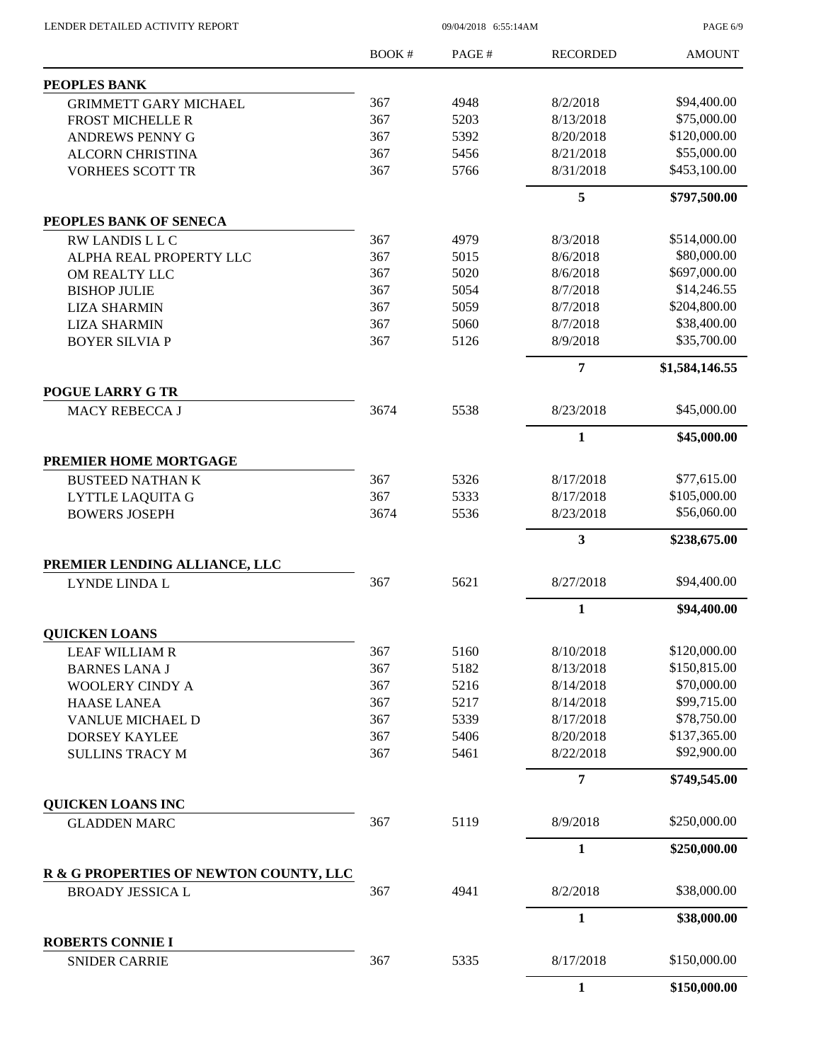LENDER DETAILED ACTIVITY REPORT 09/04/2018 6:55:14AM

PAGE 6/9

|                                                  | <b>BOOK#</b> | PAGE#        | <b>RECORDED</b>        | <b>AMOUNT</b>                |
|--------------------------------------------------|--------------|--------------|------------------------|------------------------------|
| <b>PEOPLES BANK</b>                              |              |              |                        |                              |
| <b>GRIMMETT GARY MICHAEL</b>                     | 367          | 4948         | 8/2/2018               | \$94,400.00                  |
| <b>FROST MICHELLE R</b>                          | 367          | 5203         | 8/13/2018              | \$75,000.00                  |
| ANDREWS PENNY G                                  | 367          | 5392         | 8/20/2018              | \$120,000.00                 |
| <b>ALCORN CHRISTINA</b>                          | 367          | 5456         | 8/21/2018              | \$55,000.00                  |
| <b>VORHEES SCOTT TR</b>                          | 367          | 5766         | 8/31/2018              | \$453,100.00                 |
|                                                  |              |              | 5                      | \$797,500.00                 |
| PEOPLES BANK OF SENECA                           |              |              |                        |                              |
| RW LANDIS L L C                                  | 367          | 4979         | 8/3/2018               | \$514,000.00                 |
| ALPHA REAL PROPERTY LLC                          | 367          | 5015         | 8/6/2018               | \$80,000.00                  |
| OM REALTY LLC                                    | 367          | 5020         | 8/6/2018               | \$697,000.00                 |
| <b>BISHOP JULIE</b>                              | 367          | 5054         | 8/7/2018               | \$14,246.55                  |
| <b>LIZA SHARMIN</b>                              | 367          | 5059         | 8/7/2018               | \$204,800.00                 |
| <b>LIZA SHARMIN</b>                              | 367          | 5060         | 8/7/2018               | \$38,400.00                  |
| <b>BOYER SILVIA P</b>                            | 367          | 5126         | 8/9/2018               | \$35,700.00                  |
|                                                  |              |              | 7                      | \$1,584,146.55               |
| <b>POGUE LARRY G TR</b><br><b>MACY REBECCA J</b> | 3674         | 5538         | 8/23/2018              | \$45,000.00                  |
|                                                  |              |              |                        |                              |
|                                                  |              |              | $\mathbf{1}$           | \$45,000.00                  |
| PREMIER HOME MORTGAGE                            |              |              |                        | \$77,615.00                  |
| <b>BUSTEED NATHAN K</b>                          | 367<br>367   | 5326         | 8/17/2018              |                              |
| <b>LYTTLE LAQUITA G</b>                          |              | 5333         | 8/17/2018              | \$105,000.00                 |
| <b>BOWERS JOSEPH</b>                             | 3674         | 5536         | 8/23/2018              | \$56,060.00                  |
|                                                  |              |              | 3                      | \$238,675.00                 |
| PREMIER LENDING ALLIANCE, LLC                    |              |              |                        |                              |
| LYNDE LINDA L                                    | 367          | 5621         | 8/27/2018              | \$94,400.00                  |
|                                                  |              |              | $\mathbf{1}$           | \$94,400.00                  |
| <b>QUICKEN LOANS</b>                             |              |              |                        |                              |
| <b>LEAF WILLIAM R</b>                            | 367          | 5160         | 8/10/2018              | \$120,000.00<br>\$150,815.00 |
| <b>BARNES LANA J</b>                             | 367          | 5182         | 8/13/2018              |                              |
| <b>WOOLERY CINDY A</b>                           | 367          | 5216         | 8/14/2018              | \$70,000.00                  |
| <b>HAASE LANEA</b>                               | 367          | 5217         | 8/14/2018              | \$99,715.00                  |
| VANLUE MICHAEL D                                 | 367          | 5339         | 8/17/2018              | \$78,750.00                  |
| <b>DORSEY KAYLEE</b><br><b>SULLINS TRACY M</b>   | 367<br>367   | 5406<br>5461 | 8/20/2018<br>8/22/2018 | \$137,365.00<br>\$92,900.00  |
|                                                  |              |              | $\overline{7}$         | \$749,545.00                 |
| QUICKEN LOANS INC                                |              |              |                        |                              |
| <b>GLADDEN MARC</b>                              | 367          | 5119         | 8/9/2018               | \$250,000.00                 |
|                                                  |              |              | $\mathbf{1}$           | \$250,000.00                 |
| R & G PROPERTIES OF NEWTON COUNTY, LLC           |              |              |                        |                              |
| <b>BROADY JESSICA L</b>                          | 367          | 4941         | 8/2/2018               | \$38,000.00                  |
|                                                  |              |              | 1                      | \$38,000.00                  |
| <b>ROBERTS CONNIE I</b><br><b>SNIDER CARRIE</b>  | 367          | 5335         | 8/17/2018              | \$150,000.00                 |
|                                                  |              |              | $\mathbf{1}$           | \$150,000.00                 |
|                                                  |              |              |                        |                              |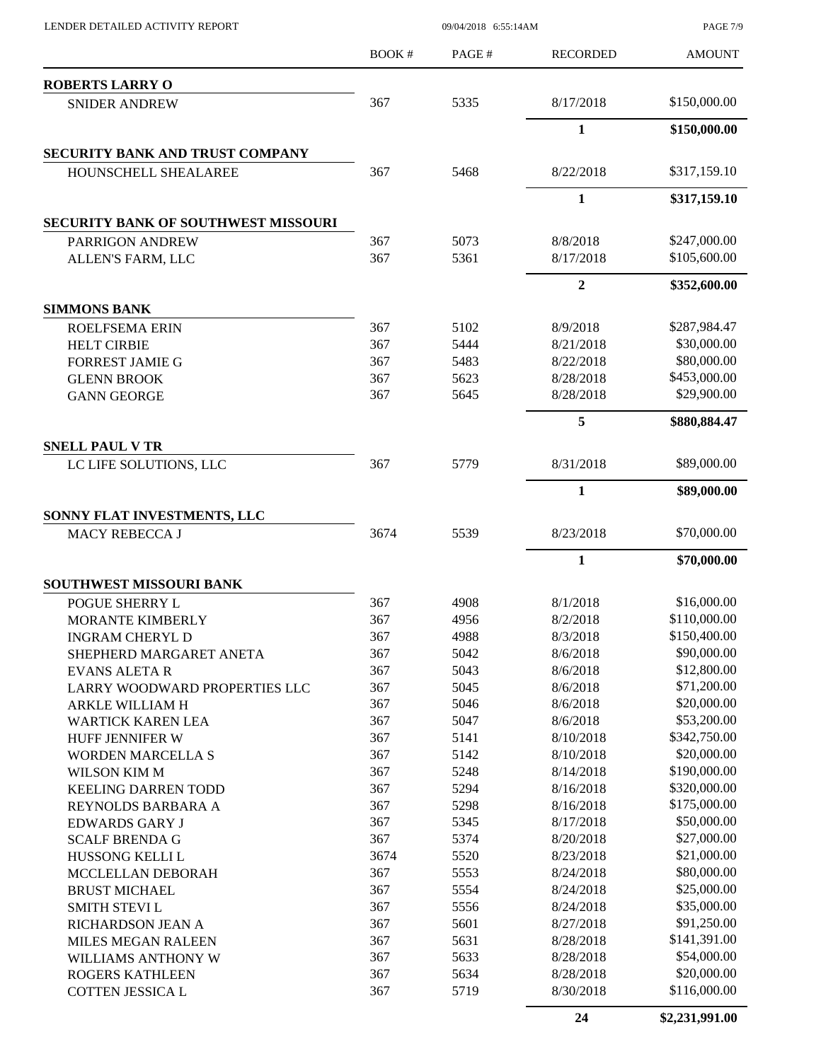|                                                  | <b>BOOK#</b> | PAGE# | <b>RECORDED</b> | <b>AMOUNT</b> |
|--------------------------------------------------|--------------|-------|-----------------|---------------|
| <b>ROBERTS LARRY O</b>                           |              |       |                 |               |
| <b>SNIDER ANDREW</b>                             | 367          | 5335  | 8/17/2018       | \$150,000.00  |
|                                                  |              |       | $\mathbf{1}$    | \$150,000.00  |
| <b>SECURITY BANK AND TRUST COMPANY</b>           |              |       |                 |               |
| HOUNSCHELL SHEALAREE                             | 367          | 5468  | 8/22/2018       | \$317,159.10  |
|                                                  |              |       | $\mathbf{1}$    | \$317,159.10  |
| <b>SECURITY BANK OF SOUTHWEST MISSOURI</b>       |              |       |                 |               |
| PARRIGON ANDREW                                  | 367          | 5073  | 8/8/2018        | \$247,000.00  |
| ALLEN'S FARM, LLC                                | 367          | 5361  | 8/17/2018       | \$105,600.00  |
|                                                  |              |       | $\overline{2}$  | \$352,600.00  |
| <b>SIMMONS BANK</b>                              |              |       |                 |               |
| <b>ROELFSEMA ERIN</b>                            | 367          | 5102  | 8/9/2018        | \$287,984.47  |
| <b>HELT CIRBIE</b>                               | 367          | 5444  | 8/21/2018       | \$30,000.00   |
| <b>FORREST JAMIE G</b>                           | 367          | 5483  | 8/22/2018       | \$80,000.00   |
| <b>GLENN BROOK</b>                               | 367          | 5623  | 8/28/2018       | \$453,000.00  |
| <b>GANN GEORGE</b>                               | 367          | 5645  | 8/28/2018       | \$29,900.00   |
|                                                  |              |       | 5               | \$880,884.47  |
| <b>SNELL PAUL V TR</b><br>LC LIFE SOLUTIONS, LLC | 367          | 5779  | 8/31/2018       | \$89,000.00   |
|                                                  |              |       | 1               | \$89,000.00   |
|                                                  |              |       |                 |               |
| SONNY FLAT INVESTMENTS, LLC<br>MACY REBECCA J    | 3674         | 5539  | 8/23/2018       | \$70,000.00   |
|                                                  |              |       | $\mathbf{1}$    | \$70,000.00   |
| <b>SOUTHWEST MISSOURI BANK</b>                   |              |       |                 |               |
| POGUE SHERRY L                                   | 367          | 4908  | 8/1/2018        | \$16,000.00   |
| MORANTE KIMBERLY                                 | 367          | 4956  | 8/2/2018        | \$110,000.00  |
| <b>INGRAM CHERYL D</b>                           | 367          | 4988  | 8/3/2018        | \$150,400.00  |
| SHEPHERD MARGARET ANETA                          | 367          | 5042  | 8/6/2018        | \$90,000.00   |
| <b>EVANS ALETA R</b>                             | 367          | 5043  | 8/6/2018        | \$12,800.00   |
| LARRY WOODWARD PROPERTIES LLC                    | 367          | 5045  | 8/6/2018        | \$71,200.00   |
| ARKLE WILLIAM H                                  | 367          | 5046  | 8/6/2018        | \$20,000.00   |
| <b>WARTICK KAREN LEA</b>                         | 367          | 5047  | 8/6/2018        | \$53,200.00   |
| HUFF JENNIFER W                                  | 367          | 5141  | 8/10/2018       | \$342,750.00  |
| <b>WORDEN MARCELLA S</b>                         | 367          | 5142  | 8/10/2018       | \$20,000.00   |
| WILSON KIM M                                     | 367          | 5248  | 8/14/2018       | \$190,000.00  |
| <b>KEELING DARREN TODD</b>                       | 367          | 5294  | 8/16/2018       | \$320,000.00  |
| REYNOLDS BARBARA A                               | 367          | 5298  | 8/16/2018       | \$175,000.00  |
| <b>EDWARDS GARY J</b>                            | 367          | 5345  | 8/17/2018       | \$50,000.00   |
| <b>SCALF BRENDA G</b>                            | 367          | 5374  | 8/20/2018       | \$27,000.00   |
| HUSSONG KELLI L                                  | 3674         | 5520  | 8/23/2018       | \$21,000.00   |
| MCCLELLAN DEBORAH                                | 367          | 5553  | 8/24/2018       | \$80,000.00   |
| <b>BRUST MICHAEL</b>                             | 367          | 5554  | 8/24/2018       | \$25,000.00   |
| <b>SMITH STEVIL</b>                              | 367          | 5556  | 8/24/2018       | \$35,000.00   |
| RICHARDSON JEAN A                                | 367          | 5601  | 8/27/2018       | \$91,250.00   |
| <b>MILES MEGAN RALEEN</b>                        | 367          | 5631  | 8/28/2018       | \$141,391.00  |
| WILLIAMS ANTHONY W                               | 367          | 5633  | 8/28/2018       | \$54,000.00   |
| ROGERS KATHLEEN                                  | 367          | 5634  | 8/28/2018       | \$20,000.00   |
| COTTEN JESSICA L                                 | 367          | 5719  | 8/30/2018       | \$116,000.00  |

LENDER DETAILED ACTIVITY REPORT 09/04/2018 6:55:14AM

**24 \$2,231,991.00**

PAGE 7/9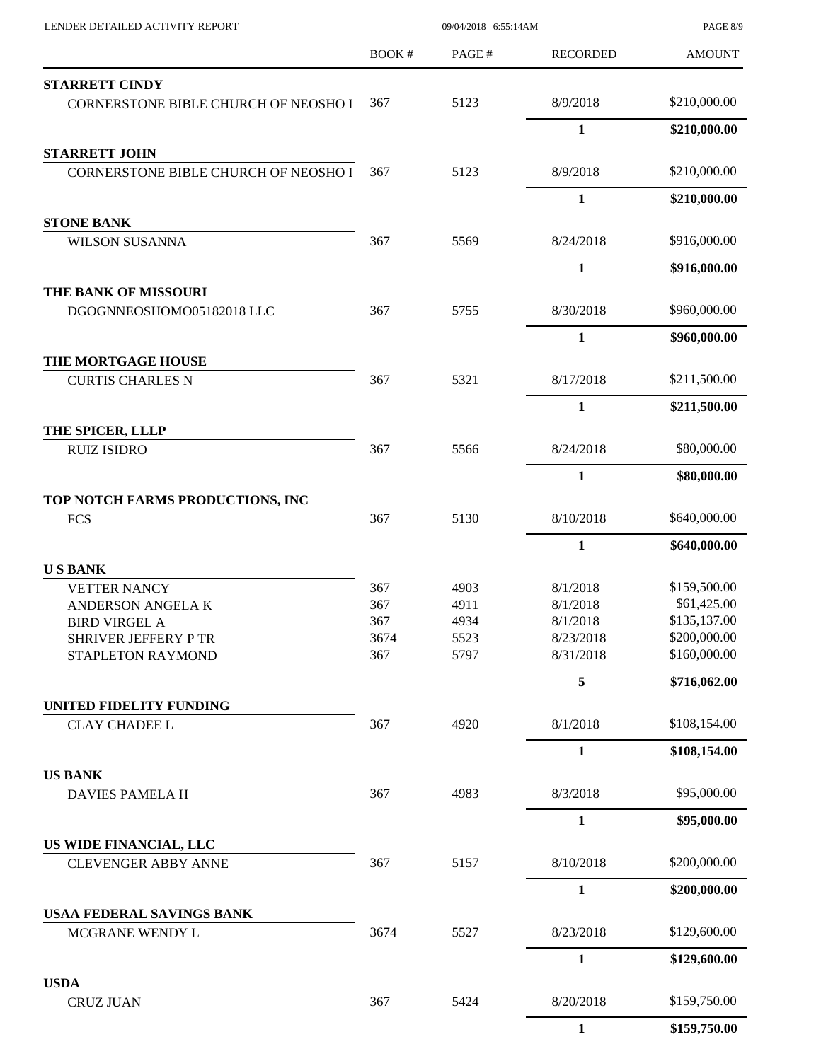| LENDER DETAILED ACTIVITY REPORT      |       | 09/04/2018 6:55:14AM |                 | <b>PAGE 8/9</b> |
|--------------------------------------|-------|----------------------|-----------------|-----------------|
|                                      | BOOK# | PAGE#                | <b>RECORDED</b> | <b>AMOUNT</b>   |
| <b>STARRETT CINDY</b>                |       |                      |                 |                 |
| CORNERSTONE BIBLE CHURCH OF NEOSHO I | 367   | 5123                 | 8/9/2018        | \$210,000.00    |
|                                      |       |                      | $\mathbf{1}$    | \$210,000.00    |
| <b>STARRETT JOHN</b>                 |       |                      |                 |                 |
| CORNERSTONE BIBLE CHURCH OF NEOSHO I | 367   | 5123                 | 8/9/2018        | \$210,000.00    |
|                                      |       |                      | $\mathbf{1}$    | \$210,000.00    |
| <b>STONE BANK</b>                    |       |                      |                 |                 |
| <b>WILSON SUSANNA</b>                | 367   | 5569                 | 8/24/2018       | \$916,000.00    |
|                                      |       |                      | $\mathbf{1}$    | \$916,000.00    |
| THE BANK OF MISSOURI                 |       |                      |                 |                 |
| DGOGNNEOSHOMO05182018 LLC            | 367   | 5755                 | 8/30/2018       | \$960,000.00    |
|                                      |       |                      | $\mathbf{1}$    | \$960,000.00    |
| THE MORTGAGE HOUSE                   |       |                      |                 |                 |
| <b>CURTIS CHARLES N</b>              | 367   | 5321                 | 8/17/2018       | \$211,500.00    |
|                                      |       |                      | $\mathbf{1}$    | \$211,500.00    |
| THE SPICER, LLLP                     |       |                      |                 |                 |
| <b>RUIZ ISIDRO</b>                   | 367   | 5566                 | 8/24/2018       | \$80,000.00     |
|                                      |       |                      | $\mathbf{1}$    | \$80,000.00     |
| TOP NOTCH FARMS PRODUCTIONS, INC     |       |                      |                 |                 |
| <b>FCS</b>                           | 367   | 5130                 | 8/10/2018       | \$640,000.00    |
|                                      |       |                      | 1               | \$640,000.00    |
| <b>USBANK</b>                        |       |                      |                 |                 |
| <b>VETTER NANCY</b>                  | 367   | 4903                 | 8/1/2018        | \$159,500.00    |
| ANDERSON ANGELA K                    | 367   | 4911                 | 8/1/2018        | \$61,425.00     |
| <b>BIRD VIRGEL A</b>                 | 367   | 4934                 | 8/1/2018        | \$135,137.00    |
| SHRIVER JEFFERY P TR                 | 3674  | 5523                 | 8/23/2018       | \$200,000.00    |
| STAPLETON RAYMOND                    | 367   | 5797                 | 8/31/2018       | \$160,000.00    |
|                                      |       |                      | 5               | \$716,062.00    |
| UNITED FIDELITY FUNDING              |       |                      |                 |                 |
| <b>CLAY CHADEE L</b>                 | 367   | 4920                 | 8/1/2018        | \$108,154.00    |
|                                      |       |                      | $\mathbf{1}$    | \$108,154.00    |
| <b>US BANK</b>                       |       |                      |                 |                 |
| DAVIES PAMELA H                      | 367   | 4983                 | 8/3/2018        | \$95,000.00     |
|                                      |       |                      | $\mathbf{1}$    | \$95,000.00     |
| US WIDE FINANCIAL, LLC               |       |                      |                 |                 |
| <b>CLEVENGER ABBY ANNE</b>           | 367   | 5157                 | 8/10/2018       | \$200,000.00    |
|                                      |       |                      | $\mathbf{1}$    | \$200,000.00    |
| USAA FEDERAL SAVINGS BANK            |       |                      |                 |                 |
| MCGRANE WENDY L                      | 3674  | 5527                 | 8/23/2018       | \$129,600.00    |
|                                      |       |                      | $\mathbf{1}$    | \$129,600.00    |
| <b>USDA</b>                          |       |                      |                 |                 |
| <b>CRUZ JUAN</b>                     | 367   | 5424                 | 8/20/2018       | \$159,750.00    |
|                                      |       |                      | $\mathbf{1}$    | \$159,750.00    |